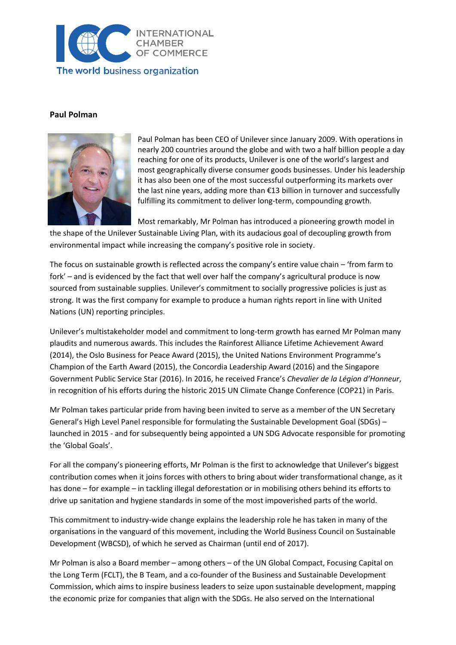

## **Paul Polman**



Paul Polman has been CEO of Unilever since January 2009. With operations in nearly 200 countries around the globe and with two a half billion people a day reaching for one of its products, Unilever is one of the world's largest and most geographically diverse consumer goods businesses. Under his leadership it has also been one of the most successful outperforming its markets over the last nine years, adding more than €13 billion in turnover and successfully fulfilling its commitment to deliver long-term, compounding growth.

Most remarkably, Mr Polman has introduced a pioneering growth model in the shape of the Unilever Sustainable Living Plan, with its audacious goal of decoupling growth from environmental impact while increasing the company's positive role in society.

The focus on sustainable growth is reflected across the company's entire value chain – 'from farm to fork' – and is evidenced by the fact that well over half the company's agricultural produce is now sourced from sustainable supplies. Unilever's commitment to socially progressive policies is just as strong. It was the first company for example to produce a human rights report in line with United Nations (UN) reporting principles.

Unilever's multistakeholder model and commitment to long-term growth has earned Mr Polman many plaudits and numerous awards. This includes the Rainforest Alliance Lifetime Achievement Award (2014), the Oslo Business for Peace Award (2015), the United Nations Environment Programme's Champion of the Earth Award (2015), the Concordia Leadership Award (2016) and the Singapore Government Public Service Star (2016). In 2016, he received France's *Chevalier de la Légion d'Honneur*, in recognition of his efforts during the historic 2015 UN Climate Change Conference (COP21) in Paris.

Mr Polman takes particular pride from having been invited to serve as a member of the UN Secretary General's High Level Panel responsible for formulating the Sustainable Development Goal (SDGs) – launched in 2015 - and for subsequently being appointed a UN SDG Advocate responsible for promoting the 'Global Goals'.

For all the company's pioneering efforts, Mr Polman is the first to acknowledge that Unilever's biggest contribution comes when it joins forces with others to bring about wider transformational change, as it has done – for example – in tackling illegal deforestation or in mobilising others behind its efforts to drive up sanitation and hygiene standards in some of the most impoverished parts of the world.

This commitment to industry-wide change explains the leadership role he has taken in many of the organisations in the vanguard of this movement, including the World Business Council on Sustainable Development (WBCSD), of which he served as Chairman (until end of 2017).

Mr Polman is also a Board member – among others – of the UN Global Compact, Focusing Capital on the Long Term (FCLT), the B Team, and a co-founder of the Business and Sustainable Development Commission, which aims to inspire business leaders to seize upon sustainable development, mapping the economic prize for companies that align with the SDGs. He also served on the International